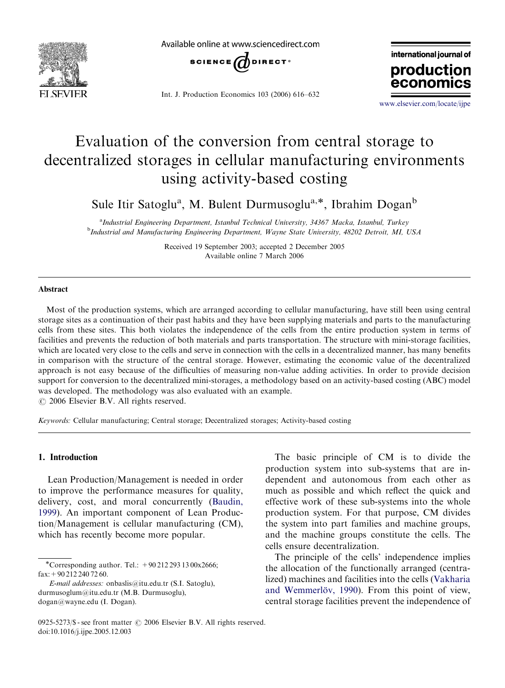

Available online at www.sciencedirect.com



Int. J. Production Economics 103 (2006) 616–632



<www.elsevier.com/locate/ijpe>

# Evaluation of the conversion from central storage to decentralized storages in cellular manufacturing environments using activity-based costing

Sule Itir Satoglu<sup>a</sup>, M. Bulent Durmusoglu<sup>a,\*</sup>, Ibrahim Dogan<sup>b</sup>

<sup>a</sup>Industrial Engineering Department, Istanbul Technical University, 34367 Macka, Istanbul, Turkey <sup>b</sup>Industrial and Manufacturing Engineering Department, Wayne State University, 48202 Detroit, MI, USA

> Received 19 September 2003; accepted 2 December 2005 Available online 7 March 2006

#### Abstract

Most of the production systems, which are arranged according to cellular manufacturing, have still been using central storage sites as a continuation of their past habits and they have been supplying materials and parts to the manufacturing cells from these sites. This both violates the independence of the cells from the entire production system in terms of facilities and prevents the reduction of both materials and parts transportation. The structure with mini-storage facilities, which are located very close to the cells and serve in connection with the cells in a decentralized manner, has many benefits in comparison with the structure of the central storage. However, estimating the economic value of the decentralized approach is not easy because of the difficulties of measuring non-value adding activities. In order to provide decision support for conversion to the decentralized mini-storages, a methodology based on an activity-based costing (ABC) model was developed. The methodology was also evaluated with an example.

 $\odot$  2006 Elsevier B.V. All rights reserved.

Keywords: Cellular manufacturing; Central storage; Decentralized storages; Activity-based costing

#### 1. Introduction

Lean Production/Management is needed in order to improve the performance measures for quality, delivery, cost, and moral concurrently ([Baudin,](#page--1-0) [1999](#page--1-0)). An important component of Lean Production/Management is cellular manufacturing (CM), which has recently become more popular.

The basic principle of CM is to divide the production system into sub-systems that are independent and autonomous from each other as much as possible and which reflect the quick and effective work of these sub-systems into the whole production system. For that purpose, CM divides the system into part families and machine groups, and the machine groups constitute the cells. The cells ensure decentralization.

The principle of the cells' independence implies the allocation of the functionally arranged (centralized) machines and facilities into the cells ([Vakharia](#page--1-0) and Wemmerlöv, 1990). From this point of view, central storage facilities prevent the independence of

Corresponding author. Tel.: +90 212 293 13 00x2666; fax:+90 212 240 72 60.

E-mail addresses: onbaslis@itu.edu.tr (S.I. Satoglu), durmusoglum@itu.edu.tr (M.B. Durmusoglu), dogan@wayne.edu (I. Dogan).

<sup>0925-5273/\$ -</sup> see front matter  $\odot$  2006 Elsevier B.V. All rights reserved. doi:10.1016/j.ijpe.2005.12.003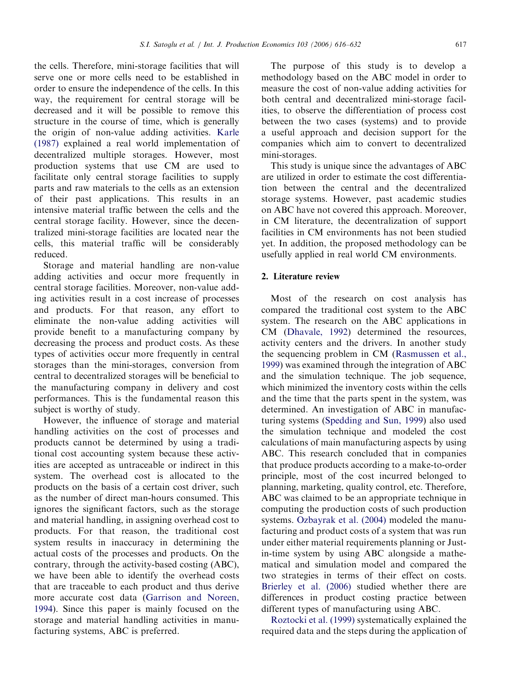the cells. Therefore, mini-storage facilities that will serve one or more cells need to be established in order to ensure the independence of the cells. In this way, the requirement for central storage will be decreased and it will be possible to remove this structure in the course of time, which is generally the origin of non-value adding activities. [Karle](#page--1-0) [\(1987\)](#page--1-0) explained a real world implementation of decentralized multiple storages. However, most production systems that use CM are used to facilitate only central storage facilities to supply parts and raw materials to the cells as an extension of their past applications. This results in an intensive material traffic between the cells and the central storage facility. However, since the decentralized mini-storage facilities are located near the cells, this material traffic will be considerably reduced.

Storage and material handling are non-value adding activities and occur more frequently in central storage facilities. Moreover, non-value adding activities result in a cost increase of processes and products. For that reason, any effort to eliminate the non-value adding activities will provide benefit to a manufacturing company by decreasing the process and product costs. As these types of activities occur more frequently in central storages than the mini-storages, conversion from central to decentralized storages will be beneficial to the manufacturing company in delivery and cost performances. This is the fundamental reason this subject is worthy of study.

However, the influence of storage and material handling activities on the cost of processes and products cannot be determined by using a traditional cost accounting system because these activities are accepted as untraceable or indirect in this system. The overhead cost is allocated to the products on the basis of a certain cost driver, such as the number of direct man-hours consumed. This ignores the significant factors, such as the storage and material handling, in assigning overhead cost to products. For that reason, the traditional cost system results in inaccuracy in determining the actual costs of the processes and products. On the contrary, through the activity-based costing (ABC), we have been able to identify the overhead costs that are traceable to each product and thus derive more accurate cost data [\(Garrison and Noreen,](#page--1-0) [1994\)](#page--1-0). Since this paper is mainly focused on the storage and material handling activities in manufacturing systems, ABC is preferred.

The purpose of this study is to develop a methodology based on the ABC model in order to measure the cost of non-value adding activities for both central and decentralized mini-storage facilities, to observe the differentiation of process cost between the two cases (systems) and to provide a useful approach and decision support for the companies which aim to convert to decentralized mini-storages.

This study is unique since the advantages of ABC are utilized in order to estimate the cost differentiation between the central and the decentralized storage systems. However, past academic studies on ABC have not covered this approach. Moreover, in CM literature, the decentralization of support facilities in CM environments has not been studied yet. In addition, the proposed methodology can be usefully applied in real world CM environments.

### 2. Literature review

Most of the research on cost analysis has compared the traditional cost system to the ABC system. The research on the ABC applications in CM [\(Dhavale, 1992](#page--1-0)) determined the resources, activity centers and the drivers. In another study the sequencing problem in CM [\(Rasmussen et al.,](#page--1-0) [1999\)](#page--1-0) was examined through the integration of ABC and the simulation technique. The job sequence, which minimized the inventory costs within the cells and the time that the parts spent in the system, was determined. An investigation of ABC in manufacturing systems ([Spedding and Sun, 1999](#page--1-0)) also used the simulation technique and modeled the cost calculations of main manufacturing aspects by using ABC. This research concluded that in companies that produce products according to a make-to-order principle, most of the cost incurred belonged to planning, marketing, quality control, etc. Therefore, ABC was claimed to be an appropriate technique in computing the production costs of such production systems. [Ozbayrak et al. \(2004\)](#page--1-0) modeled the manufacturing and product costs of a system that was run under either material requirements planning or Justin-time system by using ABC alongside a mathematical and simulation model and compared the two strategies in terms of their effect on costs. [Brierley et al. \(2006\)](#page--1-0) studied whether there are differences in product costing practice between different types of manufacturing using ABC.

[Roztocki et al. \(1999\)](#page--1-0) systematically explained the required data and the steps during the application of